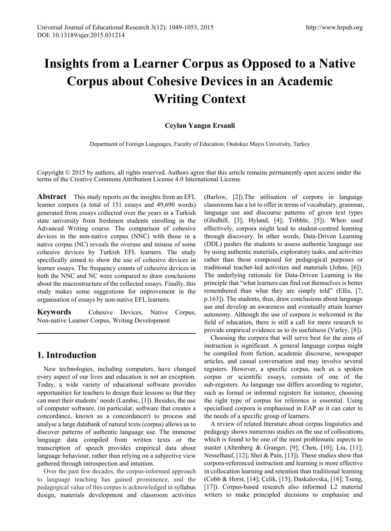# **Insights from a Learner Corpus as Opposed to a Native Corpus about Cohesive Devices in an Academic Writing Context**

### **Ceylan Yangın Ersanli**

Department of Foreign Languages, Faculty of Education, Ondokuz Mayıs University, Turkey

Copyright © 2015 by authors, all rights reserved. Authors agree that this article remains permanently open access under the terms of the Creative Commons Attribution License 4.0 International License

**Abstract** This study reports on the insights from an EFL learner corpora (a total of 151 essays and 49,690 words) generated from essays collected over the years in a Turkish state university from freshmen students enrolling in the Advanced Writing course. The comparison of cohesive devices in the non-native corpus (NNC) with those in a native corpus (NC) reveals the overuse and misuse of some cohesive devices by Turkish EFL learners. The study specifically aimed to show the use of cohesive devices in learner essays. The frequency counts of cohesive devices in both the NNC and NC were compared to draw conclusions about the macrostructure of the collected essays. Finally, this study makes some suggestions for improvement in the organisation of essays by non-native EFL learners.

**Keywords** Cohesive Devices, Native Corpus, Non-native Learner Corpus, Writing Development

## **1. Introduction**

New technologies, including computers, have changed every aspect of our lives and education is not an exception. Today, a wide variety of educational software provides opportunities for teachers to design their lessons so that they can meet their students' needs (Lambic, [1]). Besides, the use of computer software, (in particular, software that creates a concordance, known as a concordancer) to process and analyse a large databank of natural texts (corpus) allows us to discover patterns of authentic language use. The immense language data compiled from written texts or the transcription of speech provides empirical data about language behaviour, rather than relying on a subjective view gathered through introspection and intuition.

Over the past few decades, the corpus-informed approach to language teaching has gained prominence, and the pedagogical value of this corpus is acknowledged in syllabus design, materials development and classroom activities

(Barlow, [2]).The utilisation of corpora in language classrooms has a lot to offer in terms of vocabulary, grammar, language use and discourse patterns of given text types (Gledhill, [3]; Hyland, [4]; Tribble, [5]). When used effectively, corpora might lead to student-centred learning through discovery. In other words, Data-Driven Learning (DDL) pushes the students to assess authentic language use by using authentic materials, exploratory tasks, and activities rather than those composed for pedagogical purposes or traditional teacher-led activities and materials (Johns, [6]). The underlying rationale for Data-Driven Learning is the principle that "what learners can find out themselves is better remembered than what they are simply told" (Ellis, [7, p.163]). The students, thus, draw conclusions about language use and develop an awareness and eventually attain learner autonomy. Although the use of corpora is welcomed in the field of education, there is still a call for more research to provide empirical evidence as to its usefulness (Varley, [8]).

Choosing the corpora that will serve best for the aims of instruction is significant. A general language corpus might be compiled from fiction, academic discourse, newspaper articles, and casual conversation and may involve several registers. However, a specific corpus, such as a spoken corpus or scientific essays, consists of one of the sub-registers. As language use differs according to register, such as formal or informal registers for instance, choosing the right type of corpus for reference is essential. Using specialised corpora is emphasised in EAP as it can cater to the needs of a specific group of learners.

A review of related literature about corpus linguistics and pedagogy shows numerous studies on the use of collocations, which is found to be one of the most problematic aspects to master (Altenberg & Granger, [9]; Chen, [10]; Liu, [11]; Nesselhauf, [12]; Shei & Pain, [13]). These studies show that corpora-referenced instruction and learning is more effective in collocation learning and retention than traditional learning (Cobb & Horst, [14]; Çelik, [15]; Daskalovska, [16]; Tseng, [17]). Corpus-based research also informed L2 material writers to make principled decisions to emphasise and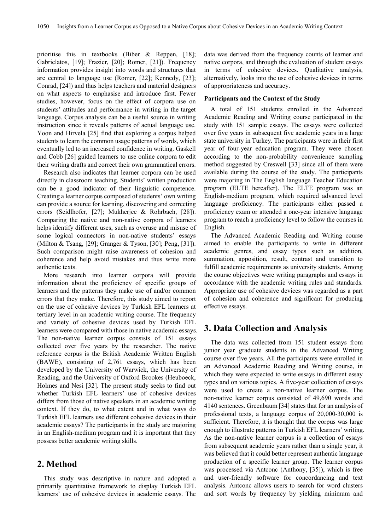prioritise this in textbooks (Biber & Reppen, [18]; Gabrielatos, [19]; Frazier, [20]; Romer, [21]). Frequency information provides insight into words and structures that are central to language use (Romer, [22]; Kennedy, [23]; Conrad, [24]) and thus helps teachers and material designers on what aspects to emphasise and introduce first. Fewer studies, however, focus on the effect of corpora use on students' attitudes and performance in writing in the target language. Corpus analysis can be a useful source in writing instruction since it reveals patterns of actual language use. Yoon and Hirvela [25] find that exploring a corpus helped students to learn the common usage patterns of words, which eventually led to an increased confidence in writing. Gaskell and Cobb [26] guided learners to use online corpora to edit their writing drafts and correct their own grammatical errors.

Research also indicates that learner corpora can be used directly in classroom teaching. Students' written production can be a good indicator of their linguistic competence. Creating a learner corpus composed of students' own writing can provide a source for learning, discovering and correcting errors (Seidlhofer, [27]; Mukherjee & Rohrbach, [28]). Comparing the native and non-native corpora of learners helps identify different uses, such as overuse and misuse of some logical connectors in non-native students' essays (Milton & Tsang, [29]; Granger & Tyson, [30]; Peng, [31]). Such comparison might raise awareness of cohesion and coherence and help avoid mistakes and thus write more authentic texts.

More research into learner corpora will provide information about the proficiency of specific groups of learners and the patterns they make use of and/or common errors that they make. Therefore, this study aimed to report on the use of cohesive devices by Turkish EFL learners at tertiary level in an academic writing course. The frequency and variety of cohesive devices used by Turkish EFL learners were compared with those in native academic essays. The non-native learner corpus consists of 151 essays collected over five years by the researcher. The native reference corpus is the British Academic Written English (BAWE), consisting of 2,761 essays, which has been developed by the University of Warwick, the University of Reading, and the University of Oxford Brookes (Heuboeck, Holmes and Nesi [32]. The present study seeks to find out whether Turkish EFL learners' use of cohesive devices differs from those of native speakers in an academic writing context. If they do, to what extent and in what ways do Turkish EFL learners use different cohesive devices in their academic essays? The participants in the study are majoring in an English-medium program and it is important that they possess better academic writing skills.

## **2. Method**

This study was descriptive in nature and adopted a primarily quantitative framework to display Turkish EFL learners' use of cohesive devices in academic essays. The

data was derived from the frequency counts of learner and native corpora, and through the evaluation of student essays in terms of cohesive devices. Qualitative analysis, alternatively, looks into the use of cohesive devices in terms of appropriateness and accuracy.

#### **Participants and the Context of the Study**

A total of 151 students enrolled in the Advanced Academic Reading and Writing course participated in the study with 151 sample essays. The essays were collected over five years in subsequent five academic years in a large state university in Turkey. The participants were in their first year of four-year education program. They were chosen according to the non-probability convenience sampling method suggested by Creswell [33] since all of them were available during the course of the study. The participants were majoring in The English language Teacher Education program (ELTE hereafter). The ELTE program was an English-medium program, which required advanced level language proficiency. The participants either passed a proficiency exam or attended a one-year intensive language program to reach a proficiency level to follow the courses in English.

The Advanced Academic Reading and Writing course aimed to enable the participants to write in different academic genres, and essay types such as addition, summation, apposition, result, contrast and transition to fulfill academic requirements as university students. Among the course objectives were writing paragraphs and essays in accordance with the academic writing rules and standards. Appropriate use of cohesive devices was regarded as a part of cohesion and coherence and significant for producing effective essays.

## **3. Data Collection and Analysis**

The data was collected from 151 student essays from junior year graduate students in the Advanced Writing course over five years. All the participants were enrolled in an Advanced Academic Reading and Writing course, in which they were expected to write essays in different essay types and on various topics. A five-year collection of essays were used to create a non-native learner corpus. The non-native learner corpus consisted of 49,690 words and 4140 sentences. Greenbaum [34] states that for an analysis of professional texts, a language corpus of 20,000-30,000 is sufficient. Therefore, it is thought that the corpus was large enough to illustrate patterns in Turkish EFL learners' writing. As the non-native learner corpus is a collection of essays from subsequent academic years rather than a single year, it was believed that it could better represent authentic language production of a specific learner group. The learner corpus was processed via Antconc (Anthony, [35]), which is free and user-friendly software for concordancing and text analysis. Antconc allows users to search for word clusters and sort words by frequency by yielding minimum and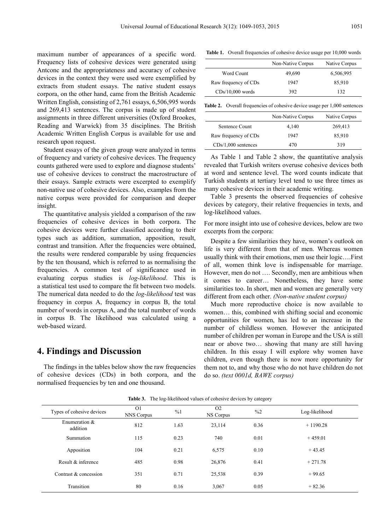maximum number of appearances of a specific word. Frequency lists of cohesive devices were generated using Antconc and the appropriateness and accuracy of cohesive devices in the context they were used were exemplified by extracts from student essays. The native student essays corpora, on the other hand, came from the British Academic Written English, consisting of 2,761 essays, 6,506,995 words and 269,413 sentences. The corpus is made up of student assignments in three different universities (Oxford Brookes, Reading and Warwick) from 35 disciplines. The British Academic Written English Corpus is available for use and research upon request.

Student essays of the given group were analyzed in terms of frequency and variety of cohesive devices. The frequency counts gathered were used to explore and diagnose students' use of cohesive devices to construct the macrostructure of their essays. Sample extracts were excerpted to exemplify non-native use of cohesive devices. Also, examples from the native corpus were provided for comparison and deeper insight.

The quantitative analysis yielded a comparison of the raw frequencies of cohesive devices in both corpora. The cohesive devices were further classified according to their types such as addition, summation, apposition, result, contrast and transition. After the frequencies were obtained, the results were rendered comparable by using frequencies by the ten thousand, which is referred to as normalising the frequencies. A common test of significance used in evaluating corpus studies is *log-likelihood*. This is a statistical test used to compare the fit between two models. The numerical data needed to do the *log-likelihood* test was frequency in corpus A, frequency in corpus B, the total number of words in corpus A, and the total number of words in corpus B. The likelihood was calculated using a web-based wizard.

## **4. Findings and Discussion**

The findings in the tables below show the raw frequencies of cohesive devices (CDs) in both corpora, and the normalised frequencies by ten and one thousand.

Table 1. Overall frequencies of cohesive device usage per 10,000 words

|                      | Non-Native Corpus | Native Corpus |
|----------------------|-------------------|---------------|
| Word Count           | 49,690            | 6,506,995     |
| Raw frequency of CDs | 1947              | 85,910        |
| $CDs/10,000$ words   | 392               | 132.          |

Table 2. Overall frequencies of cohesive device usage per 1,000 sentences

|                       | Non-Native Corpus | Native Corpus |
|-----------------------|-------------------|---------------|
| Sentence Count        | 4.140             | 269,413       |
| Raw frequency of CDs  | 1947              | 85,910        |
| $CDs/1,000$ sentences | 470               | 319           |

As Table 1 and Table 2 show, the quantitative analysis revealed that Turkish writers overuse cohesive devices both at word and sentence level. The word counts indicate that Turkish students at tertiary level tend to use three times as many cohesive devices in their academic writing.

Table 3 presents the observed frequencies of cohesive devices by category, their relative frequencies in texts, and log-likelihood values.

For more insight into use of cohesive devices, below are two excerpts from the corpora:

Despite a few similarities they have, women's outlook on life is very different from that of men. Whereas women usually think with their emotions, men use their logic….First of all, women think love is indispensable for marriage. However, men do not …. Secondly, men are ambitious when it comes to career… Nonetheless, they have some similarities too. In short, men and women are generally very different from each other. *(Non-native student corpus)*

Much more reproductive choice is now available to women… this, combined with shifting social and economic opportunities for women, has led to an increase in the number of childless women. However the anticipated number of children per woman in Europe and the USA is still near or above two… showing that many are still having children. In this essay I will explore why women have children, even though there is now more opportunity for them not to, and why those who do not have children do not do so. *(text 0001d, BAWE corpus)*

|  | <b>Table 3.</b> The log-likelihood values of cohesive devices by category |  |  |  |  |
|--|---------------------------------------------------------------------------|--|--|--|--|
|--|---------------------------------------------------------------------------|--|--|--|--|

| Types of cohesive devices    | O <sub>1</sub><br>NNS Corpus | %1   | O <sub>2</sub><br>NS Corpus | $\frac{0}{2}$ | Log-likelihood |
|------------------------------|------------------------------|------|-----------------------------|---------------|----------------|
| Enumeration $\&$<br>addition | 812                          | 1.63 | 23,114                      | 0.36          | $+1190.28$     |
| Summation                    | 115                          | 0.23 | 740                         | 0.01          | $+459.01$      |
| Apposition                   | 104                          | 0.21 | 6,575                       | 0.10          | $+43.45$       |
| Result & inference           | 485                          | 0.98 | 26,876                      | 0.41          | $+271.78$      |
| Contrast & concession        | 351                          | 0.71 | 25,538                      | 0.39          | $+99.65$       |
| Transition                   | 80                           | 0.16 | 3,067                       | 0.05          | $+82.36$       |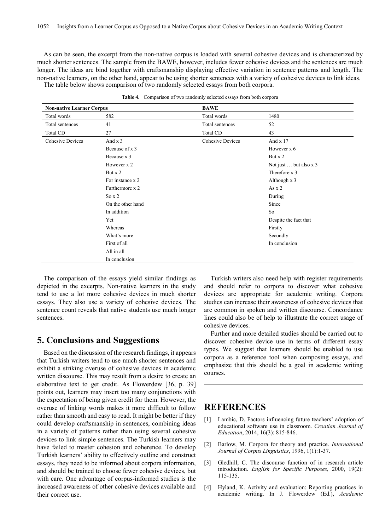As can be seen, the excerpt from the non-native corpus is loaded with several cohesive devices and is characterized by much shorter sentences. The sample from the BAWE, however, includes fewer cohesive devices and the sentences are much longer. The ideas are bind together with craftsmanship displaying effective variation in sentence patterns and length. The non-native learners, on the other hand, appear to be using shorter sentences with a variety of cohesive devices to link ideas. The table below shows comparison of two randomly selected essays from both corpora.

| <b>Non-native Learner Corpus</b> |                   | <b>BAWE</b>             |                        |
|----------------------------------|-------------------|-------------------------|------------------------|
| Total words                      | 582               | Total words             | 1480                   |
| Total sentences                  | 41                | Total sentences         | 52                     |
| Total CD                         | 27                | Total CD                | 43                     |
| <b>Cohesive Devices</b>          | And x 3           | <b>Cohesive Devices</b> | And x 17               |
|                                  | Because of x 3    |                         | However x 6            |
|                                  | Because x 3       |                         | But x 2                |
|                                  | However x 2       |                         | Not just  but also x 3 |
|                                  | But $x$ 2         |                         | Therefore x 3          |
|                                  | For instance x 2  |                         | Although x 3           |
|                                  | Furthermore x 2   |                         | As $x$ 2               |
|                                  | So $x$ 2          |                         | During                 |
|                                  | On the other hand |                         | Since                  |
|                                  | In addition       |                         | So                     |
|                                  | Yet               |                         | Despite the fact that  |
|                                  | Whereas           |                         | Firstly                |
|                                  | What's more       |                         | Secondly               |
|                                  | First of all      |                         | In conclusion          |
|                                  | All in all        |                         |                        |
|                                  | In conclusion     |                         |                        |

**Table 4.** Comparison of two randomly selected essays from both corpora

The comparison of the essays yield similar findings as depicted in the excerpts. Non-native learners in the study tend to use a lot more cohesive devices in much shorter essays. They also use a variety of cohesive devices. The sentence count reveals that native students use much longer sentences.

## **5. Conclusions and Suggestions**

Based on the discussion of the research findings, it appears that Turkish writers tend to use much shorter sentences and exhibit a striking overuse of cohesive devices in academic written discourse. This may result from a desire to create an elaborative text to get credit. As Flowerdew [36, p. 39] points out, learners may insert too many conjunctions with the expectation of being given credit for them. However, the overuse of linking words makes it more difficult to follow rather than smooth and easy to read. It might be better if they could develop craftsmanship in sentences, combining ideas in a variety of patterns rather than using several cohesive devices to link simple sentences. The Turkish learners may have failed to master cohesion and coherence. To develop Turkish learners' ability to effectively outline and construct essays, they need to be informed about corpora information, and should be trained to choose fewer cohesive devices, but with care. One advantage of corpus-informed studies is the increased awareness of other cohesive devices available and their correct use.

Turkish writers also need help with register requirements and should refer to corpora to discover what cohesive devices are appropriate for academic writing. Corpora studies can increase their awareness of cohesive devices that are common in spoken and written discourse. Concordance lines could also be of help to illustrate the correct usage of cohesive devices.

Further and more detailed studies should be carried out to discover cohesive device use in terms of different essay types. We suggest that learners should be enabled to use corpora as a reference tool when composing essays, and emphasize that this should be a goal in academic writing courses.

## **REFERENCES**

- [1] Lambic, D. Factors influencing future teachers' adoption of educational software use in classroom. *Croatian Journal of Education*, 2014, 16(3): 815-846.
- [2] Barlow, M. Corpora for theory and practice. *International Journal of Corpus Linguistics*, 1996, 1(1):1-37.
- [3] Gledhill, C. The discourse function of in research article introduction. *English for Specific Purposes,* 2000, 19(2): 115-135.
- [4] Hyland, K. Activity and evaluation: Reporting practices in academic writing. In J. Flowerdew (Ed.), *Academic*